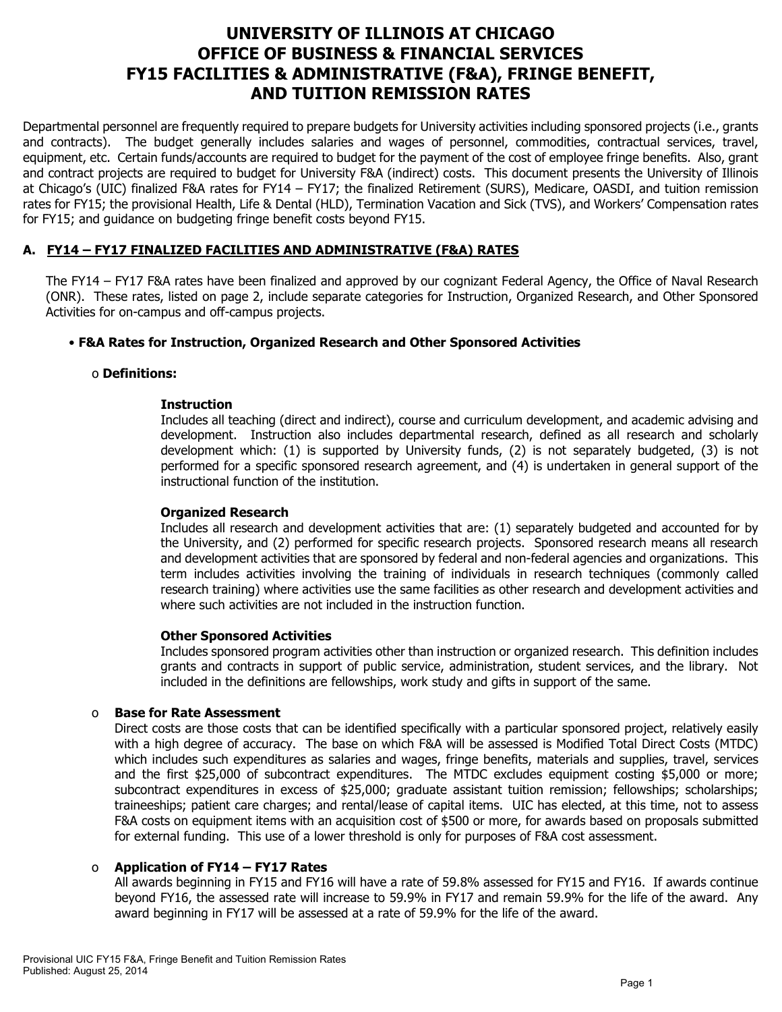# **UNIVERSITY OF ILLINOIS AT CHICAGO OFFICE OF BUSINESS & FINANCIAL SERVICES FY15 FACILITIES & ADMINISTRATIVE (F&A), FRINGE BENEFIT, AND TUITION REMISSION RATES**

Departmental personnel are frequently required to prepare budgets for University activities including sponsored projects (i.e., grants and contracts). The budget generally includes salaries and wages of personnel, commodities, contractual services, travel, equipment, etc. Certain funds/accounts are required to budget for the payment of the cost of employee fringe benefits. Also, grant and contract projects are required to budget for University F&A (indirect) costs. This document presents the University of Illinois at Chicago's (UIC) finalized F&A rates for FY14 – FY17; the finalized Retirement (SURS), Medicare, OASDI, and tuition remission rates for FY15; the provisional Health, Life & Dental (HLD), Termination Vacation and Sick (TVS), and Workers' Compensation rates for FY15; and guidance on budgeting fringe benefit costs beyond FY15.

# **A. FY14 – FY17 FINALIZED FACILITIES AND ADMINISTRATIVE (F&A) RATES**

The FY14 – FY17 F&A rates have been finalized and approved by our cognizant Federal Agency, the Office of Naval Research (ONR). These rates, listed on page 2, include separate categories for Instruction, Organized Research, and Other Sponsored Activities for on-campus and off-campus projects.

#### • **F&A Rates for Instruction, Organized Research and Other Sponsored Activities**

#### o **Definitions:**

#### **Instruction**

Includes all teaching (direct and indirect), course and curriculum development, and academic advising and development. Instruction also includes departmental research, defined as all research and scholarly development which: (1) is supported by University funds, (2) is not separately budgeted, (3) is not performed for a specific sponsored research agreement, and (4) is undertaken in general support of the instructional function of the institution.

#### **Organized Research**

Includes all research and development activities that are: (1) separately budgeted and accounted for by the University, and (2) performed for specific research projects. Sponsored research means all research and development activities that are sponsored by federal and non-federal agencies and organizations. This term includes activities involving the training of individuals in research techniques (commonly called research training) where activities use the same facilities as other research and development activities and where such activities are not included in the instruction function.

#### **Other Sponsored Activities**

Includes sponsored program activities other than instruction or organized research. This definition includes grants and contracts in support of public service, administration, student services, and the library. Not included in the definitions are fellowships, work study and gifts in support of the same.

#### o **Base for Rate Assessment**

Direct costs are those costs that can be identified specifically with a particular sponsored project, relatively easily with a high degree of accuracy. The base on which F&A will be assessed is Modified Total Direct Costs (MTDC) which includes such expenditures as salaries and wages, fringe benefits, materials and supplies, travel, services and the first \$25,000 of subcontract expenditures. The MTDC excludes equipment costing \$5,000 or more; subcontract expenditures in excess of \$25,000; graduate assistant tuition remission; fellowships; scholarships; traineeships; patient care charges; and rental/lease of capital items. UIC has elected, at this time, not to assess F&A costs on equipment items with an acquisition cost of \$500 or more, for awards based on proposals submitted for external funding. This use of a lower threshold is only for purposes of F&A cost assessment.

## o **Application of FY14 – FY17 Rates**

All awards beginning in FY15 and FY16 will have a rate of 59.8% assessed for FY15 and FY16. If awards continue beyond FY16, the assessed rate will increase to 59.9% in FY17 and remain 59.9% for the life of the award. Any award beginning in FY17 will be assessed at a rate of 59.9% for the life of the award.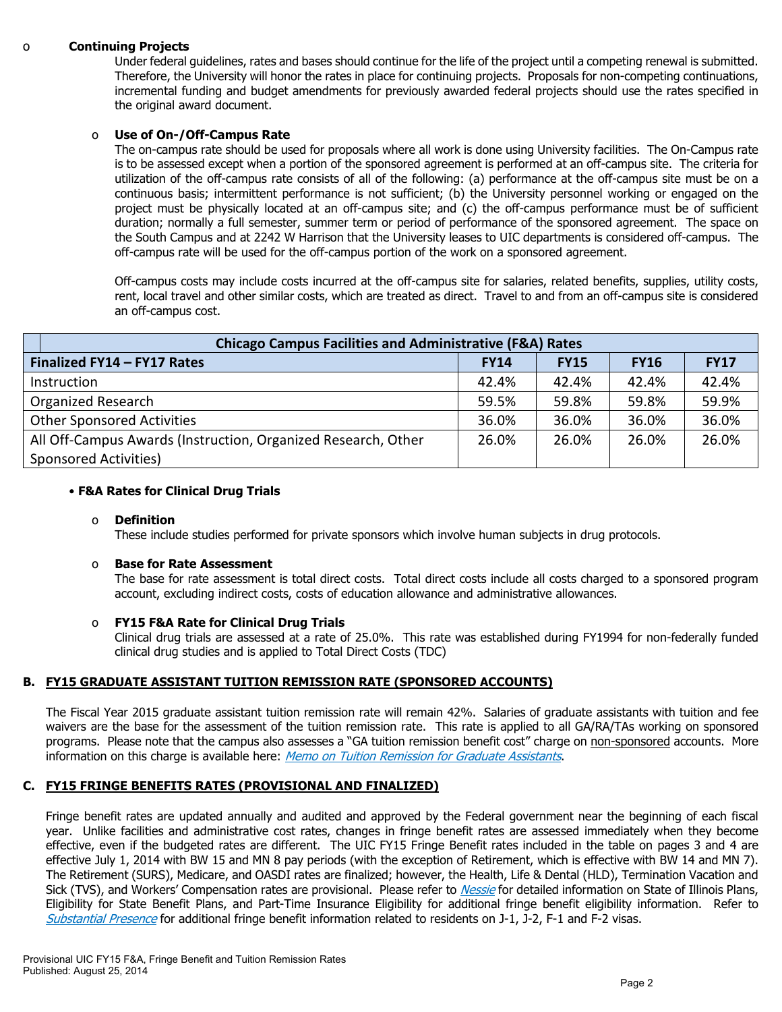#### o **Continuing Projects**

Under federal guidelines, rates and bases should continue for the life of the project until a competing renewal is submitted. Therefore, the University will honor the rates in place for continuing projects. Proposals for non-competing continuations, incremental funding and budget amendments for previously awarded federal projects should use the rates specified in the original award document.

#### o **Use of On-/Off-Campus Rate**

The on-campus rate should be used for proposals where all work is done using University facilities. The On-Campus rate is to be assessed except when a portion of the sponsored agreement is performed at an off-campus site. The criteria for utilization of the off-campus rate consists of all of the following: (a) performance at the off-campus site must be on a continuous basis; intermittent performance is not sufficient; (b) the University personnel working or engaged on the project must be physically located at an off-campus site; and (c) the off-campus performance must be of sufficient duration; normally a full semester, summer term or period of performance of the sponsored agreement. The space on the South Campus and at 2242 W Harrison that the University leases to UIC departments is considered off-campus. The off-campus rate will be used for the off-campus portion of the work on a sponsored agreement.

Off-campus costs may include costs incurred at the off-campus site for salaries, related benefits, supplies, utility costs, rent, local travel and other similar costs, which are treated as direct. Travel to and from an off-campus site is considered an off-campus cost.

| <b>Chicago Campus Facilities and Administrative (F&amp;A) Rates</b> |             |             |             |             |  |  |
|---------------------------------------------------------------------|-------------|-------------|-------------|-------------|--|--|
| Finalized FY14 - FY17 Rates                                         | <b>FY14</b> | <b>FY15</b> | <b>FY16</b> | <b>FY17</b> |  |  |
| Instruction                                                         | 42.4%       | 42.4%       | 42.4%       | 42.4%       |  |  |
| <b>Organized Research</b>                                           | 59.5%       | 59.8%       | 59.8%       | 59.9%       |  |  |
| <b>Other Sponsored Activities</b>                                   | 36.0%       | 36.0%       | 36.0%       | 36.0%       |  |  |
| All Off-Campus Awards (Instruction, Organized Research, Other       | 26.0%       | 26.0%       | 26.0%       | 26.0%       |  |  |
| Sponsored Activities)                                               |             |             |             |             |  |  |

#### • **F&A Rates for Clinical Drug Trials**

#### o **Definition**

These include studies performed for private sponsors which involve human subjects in drug protocols.

#### o **Base for Rate Assessment**

The base for rate assessment is total direct costs. Total direct costs include all costs charged to a sponsored program account, excluding indirect costs, costs of education allowance and administrative allowances.

## o **FY15 F&A Rate for Clinical Drug Trials**

Clinical drug trials are assessed at a rate of 25.0%. This rate was established during FY1994 for non-federally funded clinical drug studies and is applied to Total Direct Costs (TDC)

## **B. FY15 GRADUATE ASSISTANT TUITION REMISSION RATE (SPONSORED ACCOUNTS)**

The Fiscal Year 2015 graduate assistant tuition remission rate will remain 42%. Salaries of graduate assistants with tuition and fee waivers are the base for the assessment of the tuition remission rate. This rate is applied to all GA/RA/TAs working on sponsored programs. Please note that the campus also assesses a "GA tuition remission benefit cost" charge on non-sponsored accounts. More information on this charge is available here: [Memo on Tuition Remission for Graduate Assistants](https://www.obfs.uillinois.edu/common/pages/DisplayFile.aspx?itemId=436386).

## **C. FY15 FRINGE BENEFITS RATES (PROVISIONAL AND FINALIZED)**

Fringe benefit rates are updated annually and audited and approved by the Federal government near the beginning of each fiscal year. Unlike facilities and administrative cost rates, changes in fringe benefit rates are assessed immediately when they become effective, even if the budgeted rates are different. The UIC FY15 Fringe Benefit rates included in the table on pages 3 and 4 are effective July 1, 2014 with BW 15 and MN 8 pay periods (with the exception of Retirement, which is effective with BW 14 and MN 7). The Retirement (SURS), Medicare, and OASDI rates are finalized; however, the Health, Life & Dental (HLD), Termination Vacation and Sick (TVS), and Workers' Compensation rates are provisional. Please refer to *[Nessie](http://nessie.uihr.uillinois.edu/cf/benefits/)* for detailed information on State of Illinois Plans, Eligibility for State Benefit Plans, and Part-Time Insurance Eligibility for additional fringe benefit eligibility information. Refer to [Substantial Presence](http://www.uic.edu/com/gme/rpm_comp___benefits.htm#real_substantial_pres) for additional fringe benefit information related to residents on J-1, J-2, F-1 and F-2 visas.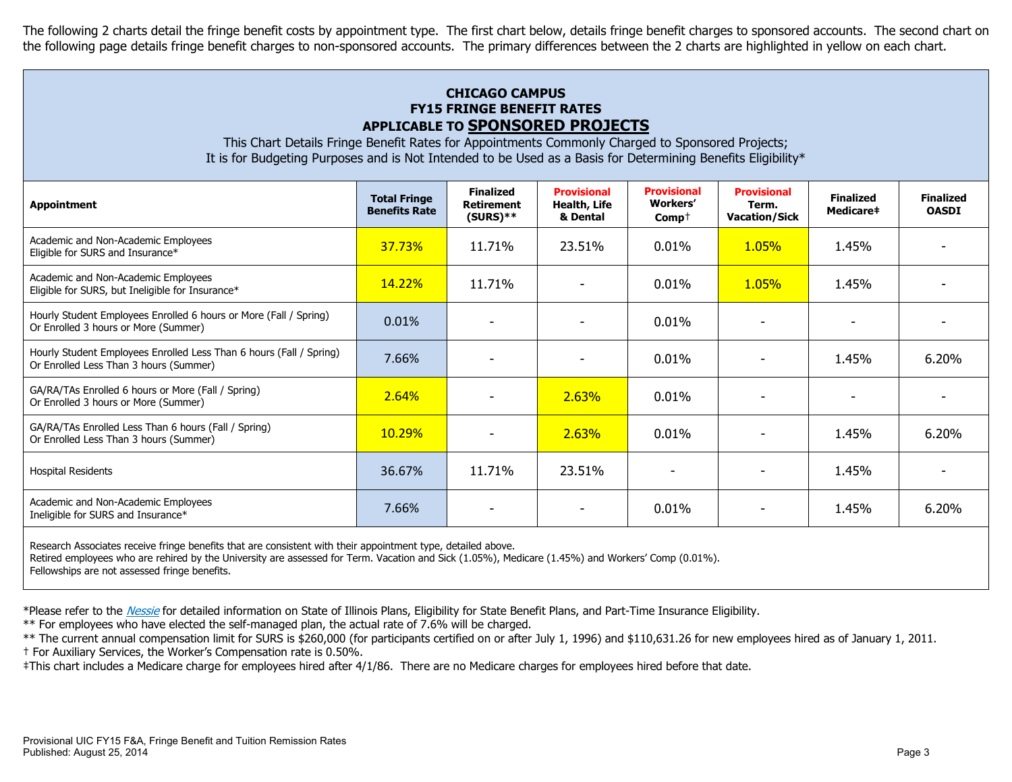The following 2 charts detail the fringe benefit costs by appointment type. The first chart below, details fringe benefit charges to sponsored accounts. The second chart on the following page details fringe benefit charges to non-sponsored accounts. The primary differences between the 2 charts are highlighted in yellow on each chart.

# **CHICAGO CAMPUS FY15 FRINGE BENEFIT RATES APPLICABLE TO SPONSORED PROJECTS**

This Chart Details Fringe Benefit Rates for Appointments Commonly Charged to Sponsored Projects; It is for Budgeting Purposes and is Not Intended to be Used as a Basis for Determining Benefits Eligibility\*

| <b>Appointment</b>                                                                                            | <b>Total Fringe</b><br><b>Benefits Rate</b> | <b>Finalized</b><br><b>Retirement</b><br>$(SURS)**$ | <b>Provisional</b><br>Health, Life<br>& Dental | <b>Provisional</b><br><b>Workers'</b><br>$Comp+$ | <b>Provisional</b><br>Term.<br><b>Vacation/Sick</b> | <b>Finalized</b><br>Medicare# | <b>Finalized</b><br><b>OASDI</b> |
|---------------------------------------------------------------------------------------------------------------|---------------------------------------------|-----------------------------------------------------|------------------------------------------------|--------------------------------------------------|-----------------------------------------------------|-------------------------------|----------------------------------|
| Academic and Non-Academic Employees<br>Eligible for SURS and Insurance*                                       | 37.73%                                      | 11.71%                                              | 23.51%                                         | 0.01%                                            | 1.05%                                               | 1.45%                         |                                  |
| Academic and Non-Academic Employees<br>Eligible for SURS, but Ineligible for Insurance*                       | 14.22%                                      | 11.71%                                              |                                                | $0.01\%$                                         | <b>1.05%</b>                                        | 1.45%                         |                                  |
| Hourly Student Employees Enrolled 6 hours or More (Fall / Spring)<br>Or Enrolled 3 hours or More (Summer)     | 0.01%                                       | $\overline{\phantom{0}}$                            |                                                | $0.01\%$                                         |                                                     |                               |                                  |
| Hourly Student Employees Enrolled Less Than 6 hours (Fall / Spring)<br>Or Enrolled Less Than 3 hours (Summer) | 7.66%                                       |                                                     |                                                | 0.01%                                            |                                                     | 1.45%                         | 6.20%                            |
| GA/RA/TAs Enrolled 6 hours or More (Fall / Spring)<br>Or Enrolled 3 hours or More (Summer)                    | 2.64%                                       |                                                     | 2.63%                                          | 0.01%                                            |                                                     |                               |                                  |
| GA/RA/TAs Enrolled Less Than 6 hours (Fall / Spring)<br>Or Enrolled Less Than 3 hours (Summer)                | 10.29%                                      |                                                     | 2.63%                                          | 0.01%                                            |                                                     | 1.45%                         | 6.20%                            |
| <b>Hospital Residents</b>                                                                                     | 36.67%                                      | 11.71%                                              | 23.51%                                         |                                                  |                                                     | 1.45%                         |                                  |
| Academic and Non-Academic Employees<br>Ineligible for SURS and Insurance*                                     | 7.66%                                       |                                                     |                                                | 0.01%                                            |                                                     | 1.45%                         | 6.20%                            |
|                                                                                                               |                                             |                                                     |                                                |                                                  |                                                     |                               |                                  |

Research Associates receive fringe benefits that are consistent with their appointment type, detailed above.

Retired employees who are rehired by the University are assessed for Term. Vacation and Sick (1.05%), Medicare (1.45%) and Workers' Comp (0.01%).

Fellowships are not assessed fringe benefits.

\*Please refer to the [Nessie](http://nessie.uihr.uillinois.edu/cf/benefits/) for detailed information on State of Illinois Plans, Eligibility for State Benefit Plans, and Part-Time Insurance Eligibility.

\*\* For employees who have elected the self-managed plan, the actual rate of 7.6% will be charged.

\*\* The current annual compensation limit for SURS is \$260,000 (for participants certified on or after July 1, 1996) and \$110,631.26 for new employees hired as of January 1, 2011. † For Auxiliary Services, the Worker's Compensation rate is 0.50%.

‡This chart includes a Medicare charge for employees hired after 4/1/86. There are no Medicare charges for employees hired before that date.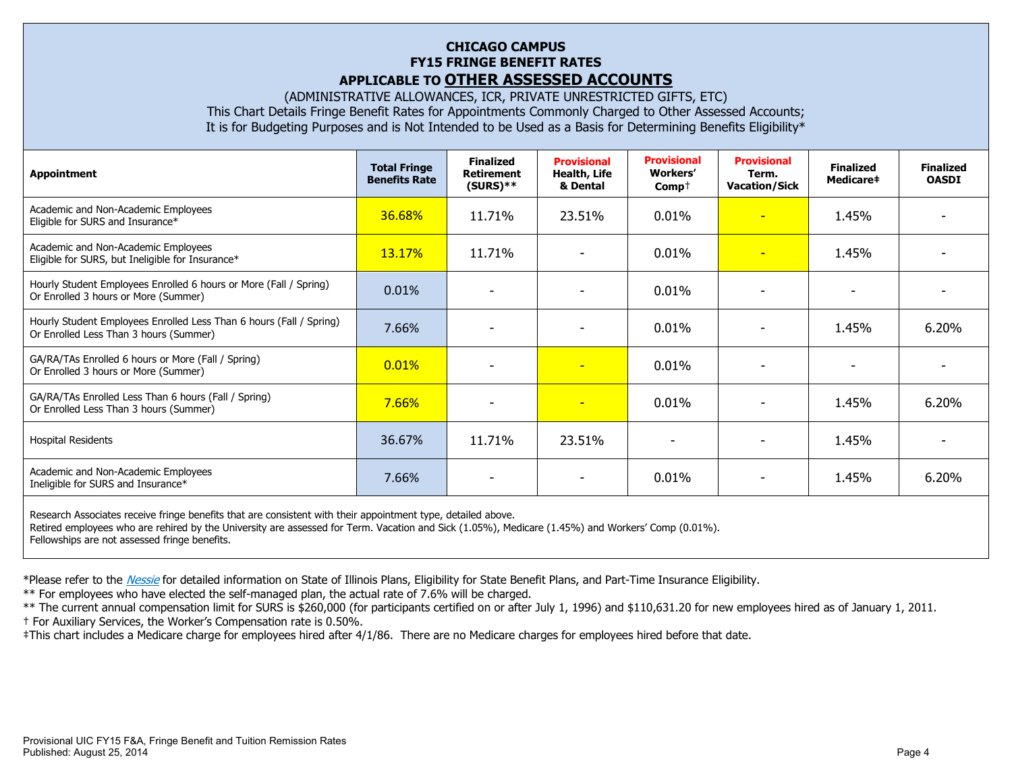## **CHICAGO CAMPUS FY15 FRINGE BENEFIT RATES APPLICABLE TO OTHER ASSESSED ACCOUNTS**

(ADMINISTRATIVE ALLOWANCES, ICR, PRIVATE UNRESTRICTED GIFTS, ETC) This Chart Details Fringe Benefit Rates for Appointments Commonly Charged to Other Assessed Accounts; It is for Budgeting Purposes and is Not Intended to be Used as a Basis for Determining Benefits Eligibility\*

| <b>Appointment</b>                                                                                            | <b>Total Fringe</b><br><b>Benefits Rate</b> | <b>Finalized</b><br><b>Retirement</b><br>$(SURS)**$ | <b>Provisional</b><br>Health, Life<br>& Dental | <b>Provisional</b><br><b>Workers'</b><br>$Comp+$ | <b>Provisional</b><br>Term.<br><b>Vacation/Sick</b> | <b>Finalized</b><br>Medicare‡ | <b>Finalized</b><br><b>OASDI</b> |
|---------------------------------------------------------------------------------------------------------------|---------------------------------------------|-----------------------------------------------------|------------------------------------------------|--------------------------------------------------|-----------------------------------------------------|-------------------------------|----------------------------------|
| Academic and Non-Academic Employees<br>Eligible for SURS and Insurance*                                       | 36.68%                                      | 11.71%                                              | 23.51%                                         | 0.01%                                            | ٠                                                   | 1.45%                         |                                  |
| Academic and Non-Academic Employees<br>Eligible for SURS, but Ineligible for Insurance*                       | <b>13.17%</b>                               | 11.71%                                              |                                                | 0.01%                                            | ٠                                                   | 1.45%                         |                                  |
| Hourly Student Employees Enrolled 6 hours or More (Fall / Spring)<br>Or Enrolled 3 hours or More (Summer)     | 0.01%                                       |                                                     |                                                | 0.01%                                            |                                                     |                               |                                  |
| Hourly Student Employees Enrolled Less Than 6 hours (Fall / Spring)<br>Or Enrolled Less Than 3 hours (Summer) | 7.66%                                       |                                                     |                                                | 0.01%                                            |                                                     | 1.45%                         | 6.20%                            |
| GA/RA/TAs Enrolled 6 hours or More (Fall / Spring)<br>Or Enrolled 3 hours or More (Summer)                    | 0.01%                                       | $\overline{\phantom{a}}$                            | $\overline{\phantom{a}}$                       | 0.01%                                            |                                                     | $\overline{\phantom{a}}$      |                                  |
| GA/RA/TAs Enrolled Less Than 6 hours (Fall / Spring)<br>Or Enrolled Less Than 3 hours (Summer)                | 7.66%                                       | $\overline{\phantom{0}}$                            | ٠                                              | 0.01%                                            |                                                     | 1.45%                         | 6.20%                            |
| <b>Hospital Residents</b>                                                                                     | 36.67%                                      | 11.71%                                              | 23.51%                                         | $\overline{\phantom{a}}$                         |                                                     | 1.45%                         |                                  |
| Academic and Non-Academic Employees<br>Ineligible for SURS and Insurance*                                     | 7.66%                                       |                                                     |                                                | 0.01%                                            |                                                     | 1.45%                         | 6.20%                            |
| Research Associates receive fringe benefits that are consistent with their appointment type, detailed above.  |                                             |                                                     |                                                |                                                  |                                                     |                               |                                  |

Retired employees who are rehired by the University are assessed for Term. Vacation and Sick (1.05%), Medicare (1.45%) and Workers' Comp (0.01%). Fellowships are not assessed fringe benefits.

\*Please refer to the [Nessie](http://nessie.uihr.uillinois.edu/cf/benefits/) for detailed information on State of Illinois Plans, Eligibility for State Benefit Plans, and Part-Time Insurance Eligibility.

\*\* For employees who have elected the self-managed plan, the actual rate of 7.6% will be charged.

\*\* The current annual compensation limit for SURS is \$260,000 (for participants certified on or after July 1, 1996) and \$110,631.20 for new employees hired as of January 1, 2011. † For Auxiliary Services, the Worker's Compensation rate is 0.50%.

‡This chart includes a Medicare charge for employees hired after 4/1/86. There are no Medicare charges for employees hired before that date.